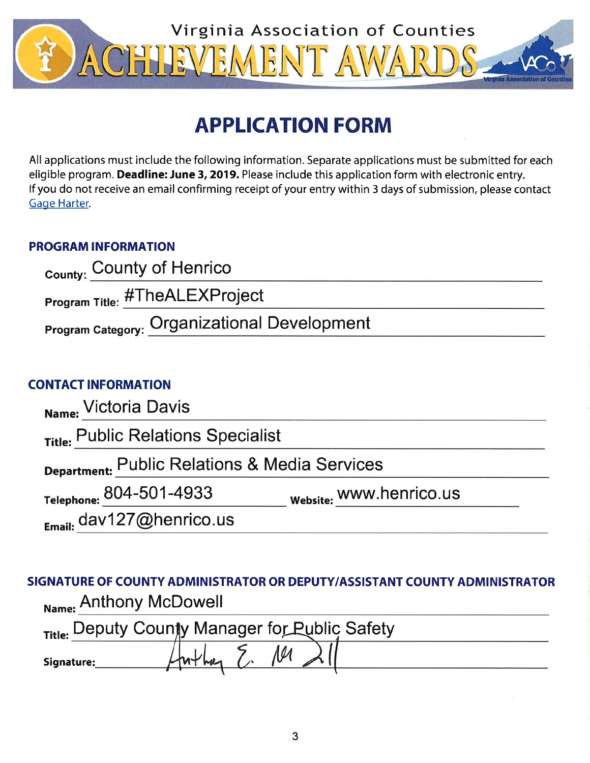

# **APPLICATION FORM**

All applications must include the following information. Separate applications must be submitted for each eligible program. Deadline: June 3, 2019. Please include this application form with electronic entry. If you do not receive an email confirming receipt of your entry within 3 days of submission, please contact Gage Harter.

# **PROGRAM INFORMATION**

| County: County of Henrico                    |  |
|----------------------------------------------|--|
| Program Title: #TheALEXProject               |  |
| Program Category: Organizational Development |  |

# **CONTACT INFORMATION**

| Name: Victoria Davis                          |                         |
|-----------------------------------------------|-------------------------|
| Title: Public Relations Specialist            |                         |
| Department: Public Relations & Media Services |                         |
| Telephone: 804-501-4933                       | Website: WWW.henrico.us |
| Email: dav127@henrico.us                      |                         |

SIGNATURE OF COUNTY ADMINISTRATOR OR DEPUTY/ASSISTANT COUNTY ADMINISTRATOR Name: Anthony McDowell

| Title: Deputy County Manager for Public Safety |  |  |  |
|------------------------------------------------|--|--|--|
| Signature:                                     |  |  |  |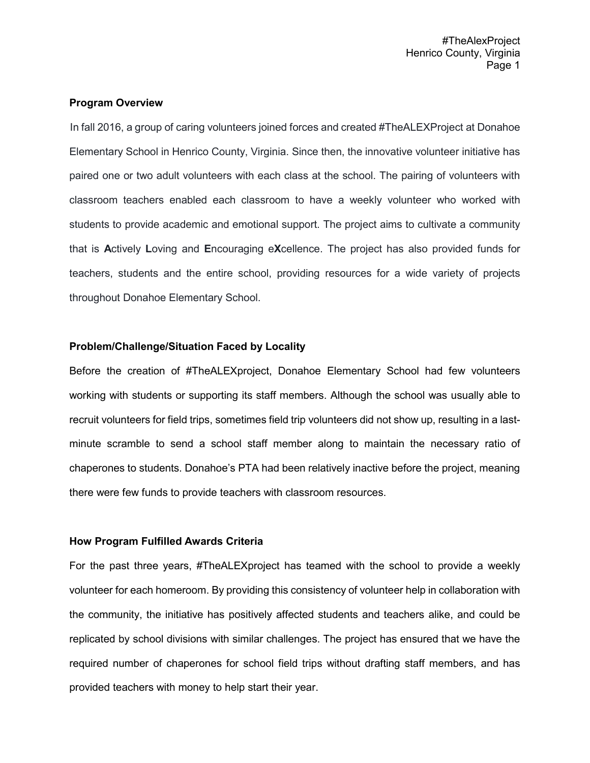## **Program Overview**

 In fall 2016, a group of caring volunteers joined forces and created #TheALEXProject at Donahoe Elementary School in Henrico County, Virginia. Since then, the innovative volunteer initiative has paired one or two adult volunteers with each class at the school. The pairing of volunteers with classroom teachers enabled each classroom to have a weekly volunteer who worked with students to provide academic and emotional support. The project aims to cultivate a community that is **A**ctively **L**oving and **E**ncouraging e**X**cellence. The project has also provided funds for teachers, students and the entire school, providing resources for a wide variety of projects throughout Donahoe Elementary School.

## **Problem/Challenge/Situation Faced by Locality**

Before the creation of #TheALEXproject, Donahoe Elementary School had few volunteers working with students or supporting its staff members. Although the school was usually able to recruit volunteers for field trips, sometimes field trip volunteers did not show up, resulting in a lastminute scramble to send a school staff member along to maintain the necessary ratio of chaperones to students. Donahoe's PTA had been relatively inactive before the project, meaning there were few funds to provide teachers with classroom resources.

## **How Program Fulfilled Awards Criteria**

For the past three years, #TheALEXproject has teamed with the school to provide a weekly volunteer for each homeroom. By providing this consistency of volunteer help in collaboration with the community, the initiative has positively affected students and teachers alike, and could be replicated by school divisions with similar challenges. The project has ensured that we have the required number of chaperones for school field trips without drafting staff members, and has provided teachers with money to help start their year.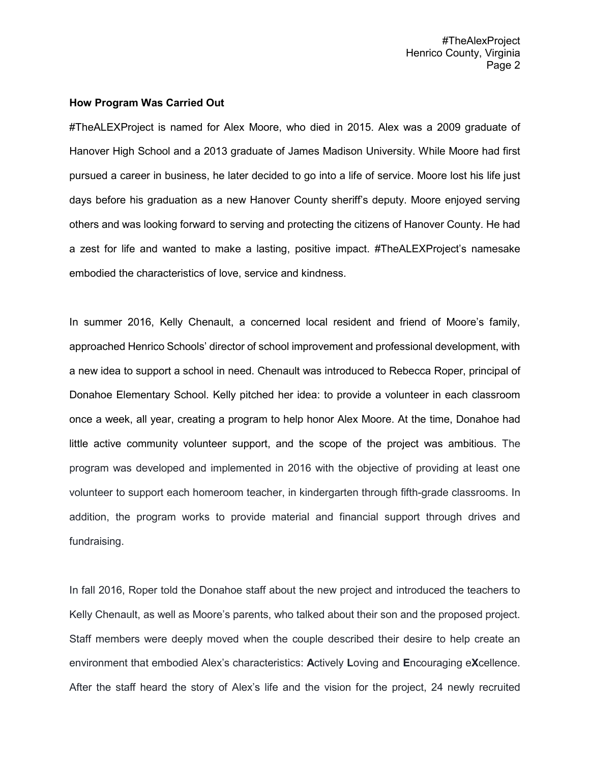#TheAlexProject Henrico County, Virginia Page 2

#### **How Program Was Carried Out**

#TheALEXProject is named for Alex Moore, who died in 2015. Alex was a 2009 graduate of Hanover High School and a 2013 graduate of James Madison University. While Moore had first pursued a career in business, he later decided to go into a life of service. Moore lost his life just days before his graduation as a new Hanover County sheriff's deputy. Moore enjoyed serving others and was looking forward to serving and protecting the citizens of Hanover County. He had a zest for life and wanted to make a lasting, positive impact. #TheALEXProject's namesake embodied the characteristics of love, service and kindness.

In summer 2016, Kelly Chenault, a concerned local resident and friend of Moore's family, approached Henrico Schools' director of school improvement and professional development, with a new idea to support a school in need. Chenault was introduced to Rebecca Roper, principal of Donahoe Elementary School. Kelly pitched her idea: to provide a volunteer in each classroom once a week, all year, creating a program to help honor Alex Moore. At the time, Donahoe had little active community volunteer support, and the scope of the project was ambitious. The program was developed and implemented in 2016 with the objective of providing at least one volunteer to support each homeroom teacher, in kindergarten through fifth-grade classrooms. In addition, the program works to provide material and financial support through drives and fundraising.

In fall 2016, Roper told the Donahoe staff about the new project and introduced the teachers to Kelly Chenault, as well as Moore's parents, who talked about their son and the proposed project. Staff members were deeply moved when the couple described their desire to help create an environment that embodied Alex's characteristics: **A**ctively **L**oving and **E**ncouraging e**X**cellence. After the staff heard the story of Alex's life and the vision for the project, 24 newly recruited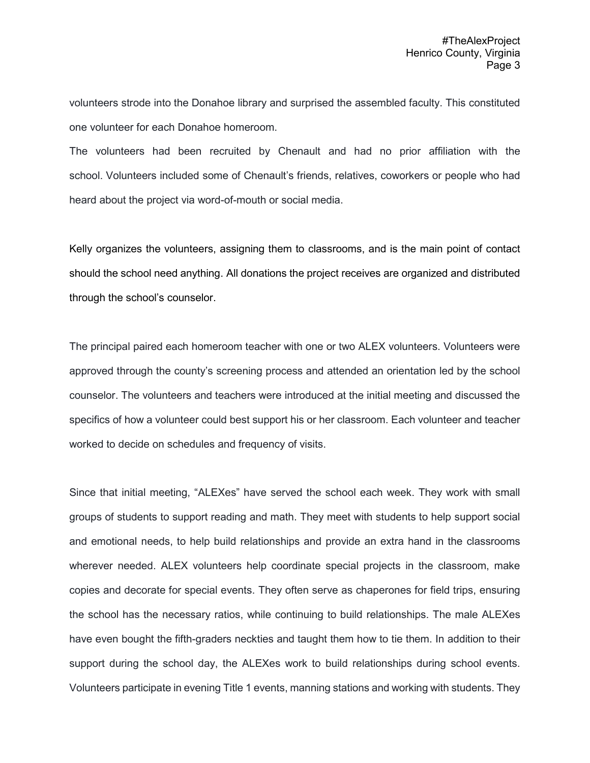volunteers strode into the Donahoe library and surprised the assembled faculty. This constituted one volunteer for each Donahoe homeroom.

The volunteers had been recruited by Chenault and had no prior affiliation with the school. Volunteers included some of Chenault's friends, relatives, coworkers or people who had heard about the project via word-of-mouth or social media.

Kelly organizes the volunteers, assigning them to classrooms, and is the main point of contact should the school need anything. All donations the project receives are organized and distributed through the school's counselor.

The principal paired each homeroom teacher with one or two ALEX volunteers. Volunteers were approved through the county's screening process and attended an orientation led by the school counselor. The volunteers and teachers were introduced at the initial meeting and discussed the specifics of how a volunteer could best support his or her classroom. Each volunteer and teacher worked to decide on schedules and frequency of visits.

Since that initial meeting, "ALEXes" have served the school each week. They work with small groups of students to support reading and math. They meet with students to help support social and emotional needs, to help build relationships and provide an extra hand in the classrooms wherever needed. ALEX volunteers help coordinate special projects in the classroom, make copies and decorate for special events. They often serve as chaperones for field trips, ensuring the school has the necessary ratios, while continuing to build relationships. The male ALEXes have even bought the fifth-graders neckties and taught them how to tie them. In addition to their support during the school day, the ALEXes work to build relationships during school events. Volunteers participate in evening Title 1 events, manning stations and working with students. They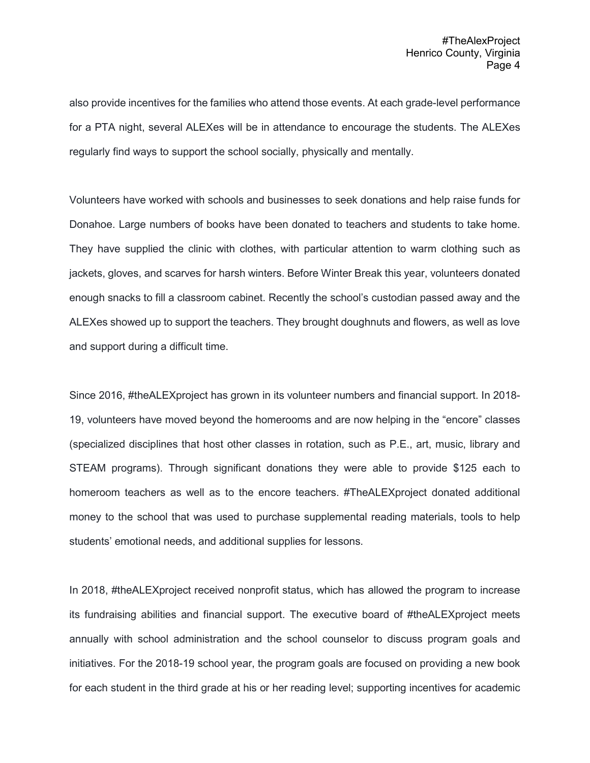also provide incentives for the families who attend those events. At each grade-level performance for a PTA night, several ALEXes will be in attendance to encourage the students. The ALEXes regularly find ways to support the school socially, physically and mentally.

Volunteers have worked with schools and businesses to seek donations and help raise funds for Donahoe. Large numbers of books have been donated to teachers and students to take home. They have supplied the clinic with clothes, with particular attention to warm clothing such as jackets, gloves, and scarves for harsh winters. Before Winter Break this year, volunteers donated enough snacks to fill a classroom cabinet. Recently the school's custodian passed away and the ALEXes showed up to support the teachers. They brought doughnuts and flowers, as well as love and support during a difficult time.

Since 2016, #theALEXproject has grown in its volunteer numbers and financial support. In 2018- 19, volunteers have moved beyond the homerooms and are now helping in the "encore" classes (specialized disciplines that host other classes in rotation, such as P.E., art, music, library and STEAM programs). Through significant donations they were able to provide \$125 each to homeroom teachers as well as to the encore teachers. #TheALEXproject donated additional money to the school that was used to purchase supplemental reading materials, tools to help students' emotional needs, and additional supplies for lessons.

In 2018, #theALEXproject received nonprofit status, which has allowed the program to increase its fundraising abilities and financial support. The executive board of #theALEXproject meets annually with school administration and the school counselor to discuss program goals and initiatives. For the 2018-19 school year, the program goals are focused on providing a new book for each student in the third grade at his or her reading level; supporting incentives for academic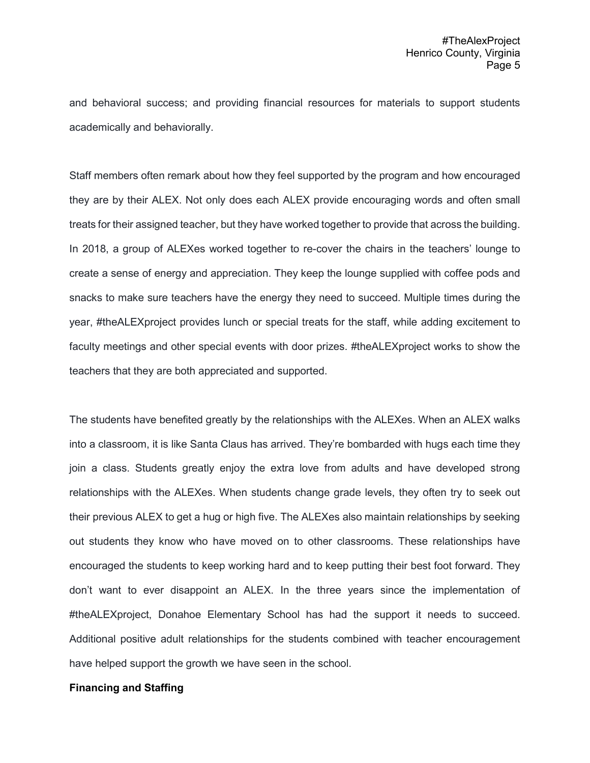and behavioral success; and providing financial resources for materials to support students academically and behaviorally.

Staff members often remark about how they feel supported by the program and how encouraged they are by their ALEX. Not only does each ALEX provide encouraging words and often small treats for their assigned teacher, but they have worked together to provide that across the building. In 2018, a group of ALEXes worked together to re-cover the chairs in the teachers' lounge to create a sense of energy and appreciation. They keep the lounge supplied with coffee pods and snacks to make sure teachers have the energy they need to succeed. Multiple times during the year, #theALEXproject provides lunch or special treats for the staff, while adding excitement to faculty meetings and other special events with door prizes. #theALEXproject works to show the teachers that they are both appreciated and supported.

The students have benefited greatly by the relationships with the ALEXes. When an ALEX walks into a classroom, it is like Santa Claus has arrived. They're bombarded with hugs each time they join a class. Students greatly enjoy the extra love from adults and have developed strong relationships with the ALEXes. When students change grade levels, they often try to seek out their previous ALEX to get a hug or high five. The ALEXes also maintain relationships by seeking out students they know who have moved on to other classrooms. These relationships have encouraged the students to keep working hard and to keep putting their best foot forward. They don't want to ever disappoint an ALEX. In the three years since the implementation of #theALEXproject, Donahoe Elementary School has had the support it needs to succeed. Additional positive adult relationships for the students combined with teacher encouragement have helped support the growth we have seen in the school.

#### **Financing and Staffing**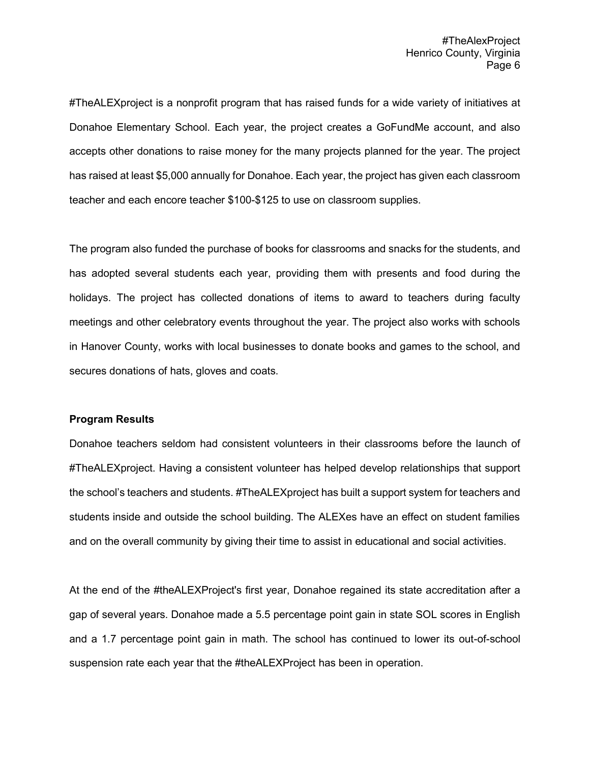#TheALEXproject is a nonprofit program that has raised funds for a wide variety of initiatives at Donahoe Elementary School. Each year, the project creates a GoFundMe account, and also accepts other donations to raise money for the many projects planned for the year. The project has raised at least \$5,000 annually for Donahoe. Each year, the project has given each classroom teacher and each encore teacher \$100-\$125 to use on classroom supplies.

The program also funded the purchase of books for classrooms and snacks for the students, and has adopted several students each year, providing them with presents and food during the holidays. The project has collected donations of items to award to teachers during faculty meetings and other celebratory events throughout the year. The project also works with schools in Hanover County, works with local businesses to donate books and games to the school, and secures donations of hats, gloves and coats.

#### **Program Results**

Donahoe teachers seldom had consistent volunteers in their classrooms before the launch of #TheALEXproject. Having a consistent volunteer has helped develop relationships that support the school's teachers and students. #TheALEXproject has built a support system for teachers and students inside and outside the school building. The ALEXes have an effect on student families and on the overall community by giving their time to assist in educational and social activities.

At the end of the #theALEXProject's first year, Donahoe regained its state accreditation after a gap of several years. Donahoe made a 5.5 percentage point gain in state SOL scores in English and a 1.7 percentage point gain in math. The school has continued to lower its out-of-school suspension rate each year that the #theALEXProject has been in operation.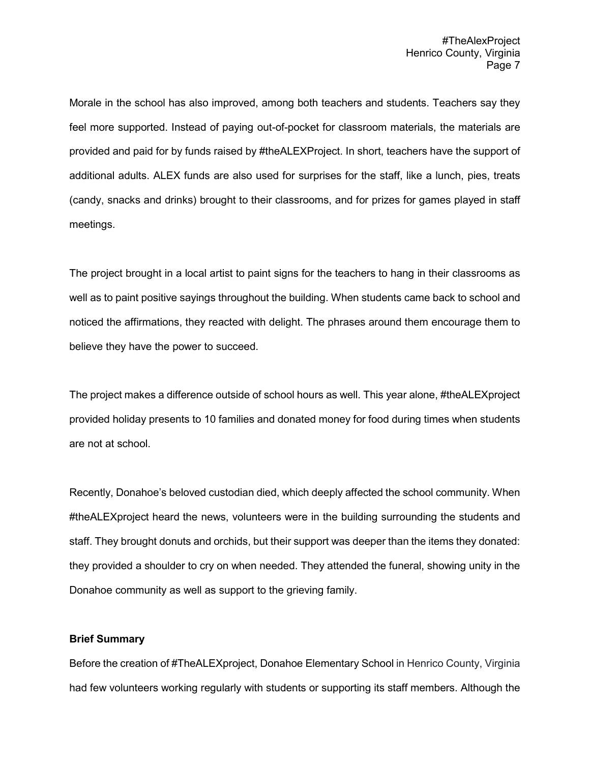Morale in the school has also improved, among both teachers and students. Teachers say they feel more supported. Instead of paying out-of-pocket for classroom materials, the materials are provided and paid for by funds raised by #theALEXProject. In short, teachers have the support of additional adults. ALEX funds are also used for surprises for the staff, like a lunch, pies, treats (candy, snacks and drinks) brought to their classrooms, and for prizes for games played in staff meetings.

The project brought in a local artist to paint signs for the teachers to hang in their classrooms as well as to paint positive sayings throughout the building. When students came back to school and noticed the affirmations, they reacted with delight. The phrases around them encourage them to believe they have the power to succeed.

The project makes a difference outside of school hours as well. This year alone, #theALEXproject provided holiday presents to 10 families and donated money for food during times when students are not at school.

Recently, Donahoe's beloved custodian died, which deeply affected the school community. When #theALEXproject heard the news, volunteers were in the building surrounding the students and staff. They brought donuts and orchids, but their support was deeper than the items they donated: they provided a shoulder to cry on when needed. They attended the funeral, showing unity in the Donahoe community as well as support to the grieving family.

## **Brief Summary**

Before the creation of #TheALEXproject, Donahoe Elementary School in Henrico County, Virginia had few volunteers working regularly with students or supporting its staff members. Although the